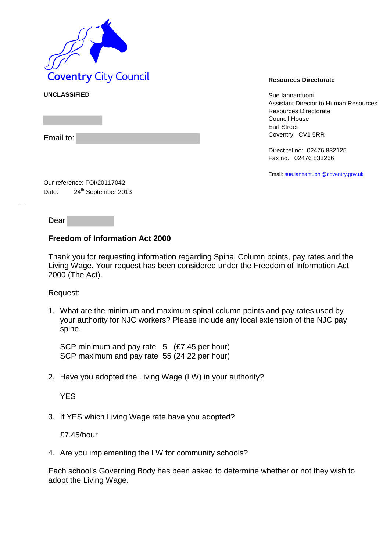

**UNCLASSIFIED** Sue Iannantuoni Assistant Director to Human Resources Resources Directorate Council House Earl Street Coventry CV1 5RR

> Direct tel no: 02476 832125 Fax no.: 02476 833266

Email[: sue.iannantuoni@coventry.gov.uk](mailto:sue.iannantuoni@coventry.gov.uk)

Our reference: FOI/20117042 Date: 24<sup>th</sup> September 2013

Dear

Email to:

## **Freedom of Information Act 2000**

Thank you for requesting information regarding Spinal Column points, pay rates and the Living Wage. Your request has been considered under the Freedom of Information Act 2000 (The Act).

Request:

1. What are the minimum and maximum spinal column points and pay rates used by your authority for NJC workers? Please include any local extension of the NJC pay spine.

SCP minimum and pay rate 5 (£7.45 per hour) SCP maximum and pay rate 55 (24.22 per hour)

2. Have you adopted the Living Wage (LW) in your authority?

YES

3. If YES which Living Wage rate have you adopted?

£7.45/hour

4. Are you implementing the LW for community schools?

Each school's Governing Body has been asked to determine whether or not they wish to adopt the Living Wage.